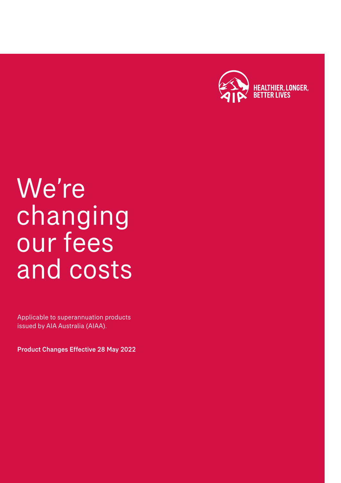

# We're changing our fees and costs

Applicable to superannuation products issued by AIA Australia (AIAA).

Product Changes Effective 28 May 2022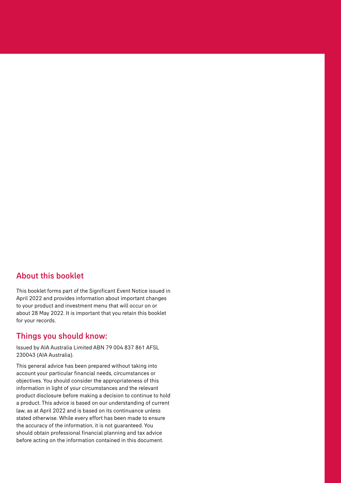#### About this booklet

This booklet forms part of the Significant Event Notice issued in April 2022 and provides information about important changes to your product and investment menu that will occur on or about 28 May 2022. It is important that you retain this booklet for your records.

#### Things you should know:

Issued by AIA Australia Limited ABN 79 004 837 861 AFSL 230043 (AIA Australia).

This general advice has been prepared without taking into account your particular financial needs, circumstances or objectives. You should consider the appropriateness of this information in light of your circumstances and the relevant product disclosure before making a decision to continue to hold a product. This advice is based on our understanding of current law, as at April 2022 and is based on its continuance unless stated otherwise. While every effort has been made to ensure the accuracy of the information, it is not guaranteed. You should obtain professional financial planning and tax advice before acting on the information contained in this document.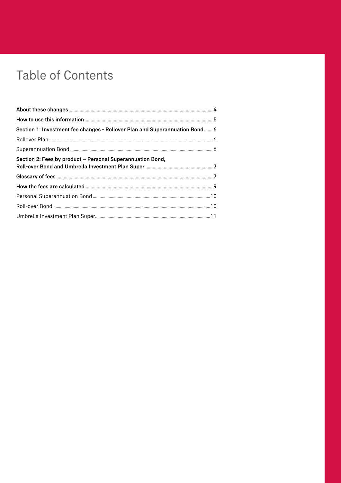# **Table of Contents**

| Section 1: Investment fee changes - Rollover Plan and Superannuation Bond 6 |
|-----------------------------------------------------------------------------|
|                                                                             |
|                                                                             |
| Section 2: Fees by product – Personal Superannuation Bond,                  |
|                                                                             |
|                                                                             |
|                                                                             |
|                                                                             |
|                                                                             |
|                                                                             |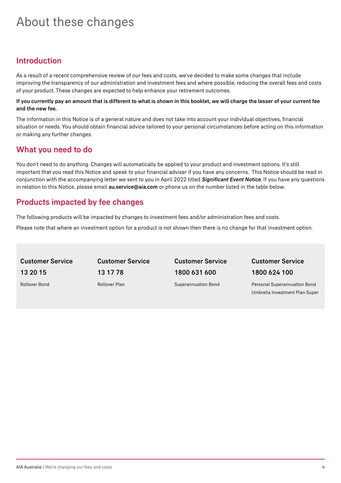# About these changes

### Introduction

As a result of a recent comprehensive review of our fees and costs, we've decided to make some changes that include improving the transparency of our administration and investment fees and where possible, reducing the overall fees and costs of your product. These changes are expected to help enhance your retirement outcomes.

#### If you currently pay an amount that is different to what is shown in this booklet, we will charge the lesser of your current fee and the new fee.

The information in this Notice is of a general nature and does not take into account your individual objectives, financial situation or needs. You should obtain financial advice tailored to your personal circumstances before acting on this information or making any further changes.

### What you need to do

You don't need to do anything. Changes will automatically be applied to your product and investment options. It's still important that you read this Notice and speak to your financial adviser if you have any concerns. This Notice should be read in conjunction with the accompanying letter we sent to you in April 2022 titled Significant Event Notice. If you have any questions in relation to this Notice, please email [au.service@aia.com](mailto:au.service%40aia.com?subject=) or phone us on the number listed in the table below.

### Products impacted by fee changes

The following products will be impacted by changes to investment fees and/or administration fees and costs.

Please note that where an investment option for a product is not shown then there is no change for that investment option.

Customer Service 13 20 15 Rollover Bond

Customer Service 13 17 78 Rollover Plan

Customer Service 1800 631 600 Superannuation Bond

Customer Service 1800 624 100

Personal Superannuation Bond Umbrella Investment Plan Super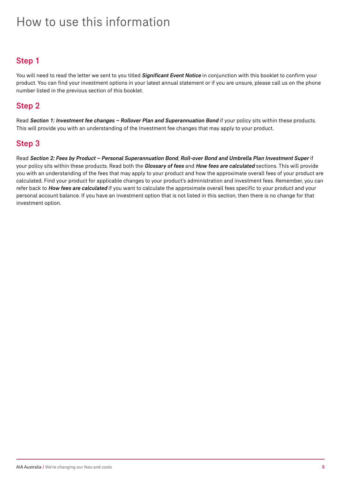# How to use this information

### Step 1

You will need to read the letter we sent to you titled Significant Event Notice in conjunction with this booklet to confirm your product. You can find your investment options in your latest annual statement or if you are unsure, please call us on the phone number listed in the previous section of this booklet.

### Step 2

Read Section 1: Investment fee changes - Rollover Plan and Superannuation Bond if your policy sits within these products. This will provide you with an understanding of the Investment fee changes that may apply to your product.

### Step 3

Read Section 2: Fees by Product – Personal Superannuation Bond, Roll-over Bond and Umbrella Plan Investment Super if your policy sits within these products. Read both the Glossary of fees and How fees are calculated sections. This will provide you with an understanding of the fees that may apply to your product and how the approximate overall fees of your product are calculated. Find your product for applicable changes to your product's administration and investment fees. Remember, you can refer back to How fees are calculated if you want to calculate the approximate overall fees specific to your product and your personal account balance. If you have an investment option that is not listed in this section, then there is no change for that investment option.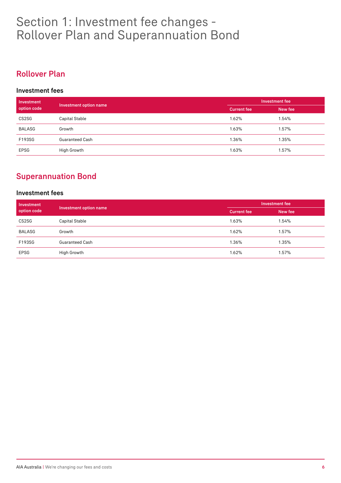# Section 1: Investment fee changes - Rollover Plan and Superannuation Bond

# Rollover Plan

#### Investment fees

| Investment<br>option code | Investment option name | Investment fee     |         |
|---------------------------|------------------------|--------------------|---------|
|                           |                        | <b>Current fee</b> | New fee |
| CS2SG                     | Capital Stable         | 1.62%              | 1.54%   |
| BALASG                    | Growth                 | 1.63%              | 1.57%   |
| F193SG                    | <b>Guaranteed Cash</b> | 1.36%              | 1.35%   |
| <b>EPSG</b>               | High Growth            | 1.63%              | 1.57%   |

# Superannuation Bond

#### Investment fees

| Investment<br>option code | Investment option name | Investment fee     |         |
|---------------------------|------------------------|--------------------|---------|
|                           |                        | <b>Current fee</b> | New fee |
| CS2SG                     | Capital Stable         | 1.63%              | 1.54%   |
| BALASG                    | Growth                 | 1.62%              | 1.57%   |
| F193SG                    | Guaranteed Cash        | 1.36%              | 1.35%   |
| <b>EPSG</b>               | High Growth            | 1.62%              | 1.57%   |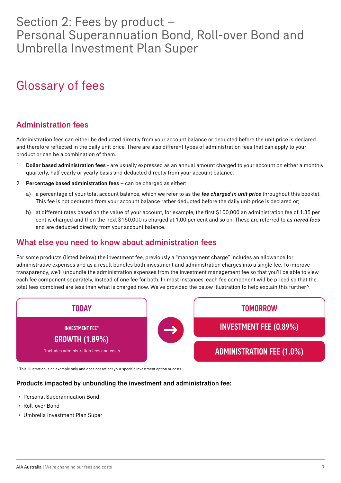# Section 2: Fees by product – Personal Superannuation Bond, Roll-over Bond and Umbrella Investment Plan Super

# Glossary of fees

### Administration fees

Administration fees can either be deducted directly from your account balance or deducted before the unit price is declared and therefore reflected in the daily unit price. There are also different types of administration fees that can apply to your product or can be a combination of them.

- 1 Dollar based administration fees are usually expressed as an annual amount charged to your account on either a monthly, quarterly, half yearly or yearly basis and deducted directly from your account balance.
- 2 Percentage based administration fees can be charged as either:
	- a) a percentage of your total account balance, which we refer to as the fee charged in unit price throughout this booklet. This fee is not deducted from your account balance rather deducted before the daily unit price is declared or;
	- b) at different rates based on the value of your account, for example, the first \$100,000 an administration fee of 1.35 per cent is charged and then the next \$150,000 is charged at 1.00 per cent and so on. These are referred to as tiered fees and are deducted directly from your account balance.

### What else you need to know about administration fees

For some products (listed below) the investment fee, previously a "management charge" includes an allowance for administrative expenses and as a result bundles both investment and administration charges into a single fee. To improve transparency, we'll unbundle the administration expenses from the investment management fee so that you'll be able to view each fee component separately, instead of one fee for both. In most instances, each fee component will be priced so that the total fees combined are less than what is charged now. We've provided the below illustration to help explain this further^.



^ This illustration is an example only and does not reflect your specific investment option or costs.

#### Products impacted by unbundling the investment and administration fee:

- Personal Superannuation Bond
- Roll-over Bond
- Umbrella Investment Plan Super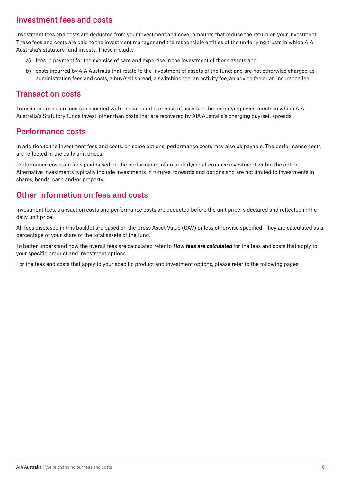# Investment fees and costs

Investment fees and costs are deducted from your investment and cover amounts that reduce the return on your investment. These fees and costs are paid to the investment manager and the responsible entities of the underlying trusts in which AIA Australia's statutory fund invests. These include:

- a) fees in payment for the exercise of care and expertise in the investment of those assets and
- b) costs incurred by AIA Australia that relate to the investment of assets of the fund; and are not otherwise charged as administration fees and costs, a buy/sell spread, a switching fee, an activity fee, an advice fee or an insurance fee.

#### Transaction costs

Transaction costs are costs associated with the sale and purchase of assets in the underlying investments in which AIA Australia's Statutory funds invest, other than costs that are recovered by AIA Australia's charging buy/sell spreads.

#### Performance costs

In addition to the investment fees and costs, on some options, performance costs may also be payable. The performance costs are reflected in the daily unit prices.

Performance costs are fees paid based on the performance of an underlying alternative investment within the option. Alternative investments typically include investments in futures, forwards and options and are not limited to investments in shares, bonds, cash and/or property.

#### Other information on fees and costs

Investment fees, transaction costs and performance costs are deducted before the unit price is declared and reflected in the daily unit price.

All fees disclosed in this booklet are based on the Gross Asset Value (GAV) unless otherwise specified. They are calculated as a percentage of your share of the total assets of the fund.

To better understand how the overall fees are calculated refer to **How fees are calculated** for the fees and costs that apply to your specific product and investment options.

For the fees and costs that apply to your specific product and investment options, please refer to the following pages.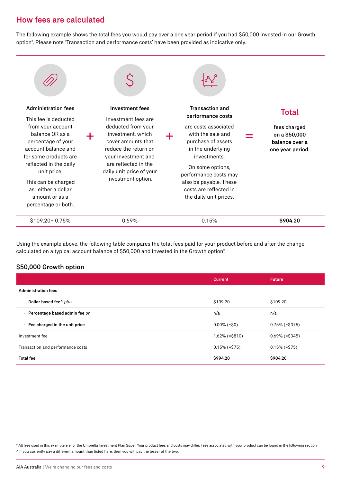## How fees are calculated

The following example shows the total fees you would pay over a one year period if you had \$50,000 invested in our Growth option\*. Please note 'Transaction and performance costs' have been provided as indicative only.



Using the example above, the following table compares the total fees paid for your product before and after the change, calculated on a typical account balance of \$50,000 and invested in the Growth option\*.

#### \$50,000 Growth option

|                                   | <b>Current</b>       | <b>Future</b>     |  |
|-----------------------------------|----------------------|-------------------|--|
| <b>Administration fees</b>        |                      |                   |  |
| - Dollar based fee^ plus          | \$109.20             | \$109.20          |  |
| - Percentage based admin fee or   | n/a                  | n/a               |  |
| - Fee charged in the unit price   | $0.00\%$ (=\$0)      | $0.75\%$ (=\$375) |  |
| Investment fee                    | $1.62\%$ (= $$810$ ) | $0.69\%$ (=\$345) |  |
| Transaction and performance costs | $0.15\%$ (=\$75)     | $0.15\%$ (=\$75)  |  |
| <b>Total fee</b>                  | \$994.20             | \$904.20          |  |

\* All fees used in this example are for the Umbrella Investment Plan Super. Your product fees and costs may differ. Fees associated with your product can be found in the following section. ^ If you currently pay a different amount than listed here, then you will pay the lesser of the two.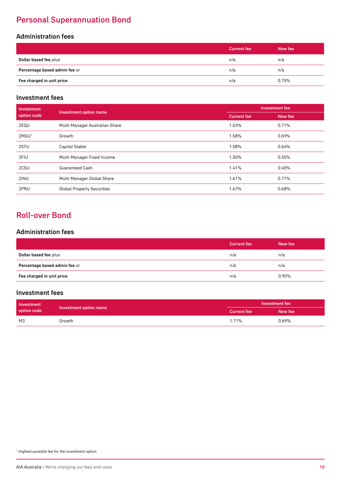# Personal Superannuation Bond

#### Administration fees

|                               | <b>Current fee</b> | New fee |
|-------------------------------|--------------------|---------|
| Dollar based fee plus         | n/a                | n/a     |
| Percentage based admin fee or | n/a                | n/a     |
| Fee charged in unit price     | n/a                | 0.75%   |

#### Investment fees

| Investment        | <b>Investment option name</b>     | Investment fee     |         |
|-------------------|-----------------------------------|--------------------|---------|
| option code       |                                   | <b>Current fee</b> | New fee |
| 2EQU              | Multi-Manager Australian Share    | 1.63%              | 0.71%   |
| 2MGU <sup>1</sup> | Growth                            | 1.58%              | 0.69%   |
| 2STU              | <b>Capital Stable</b>             | 1.58%              | 0.64%   |
| 2FIU              | Multi-Manager Fixed Income        | 1.50%              | 0.55%   |
| 2CSU              | <b>Guaranteed Cash</b>            | 1.41%              | 0.45%   |
| 2INU              | Multi-Manager Global Share        | 1.61%              | 0.71%   |
| 2PRU              | <b>Global Property Securities</b> | 1.67%              | 0.68%   |

# Roll-over Bond

#### Administration fees

|                               | <b>Current fee</b> | New fee |
|-------------------------------|--------------------|---------|
| Dollar based fee plus         | n/a                | n/a     |
| Percentage based admin fee or | n/a                | n/a     |
| Fee charged in unit price     | n/a                | 0.90%   |

#### Investment fees

| Investment<br>option code | Investment option name | Investment fee     |         |
|---------------------------|------------------------|--------------------|---------|
|                           |                        | <b>Current fee</b> | New fee |
| МЗ                        | Growth                 | 1.71%              | 0.69%   |

<sup>1</sup> Highest possible fee for the investment option